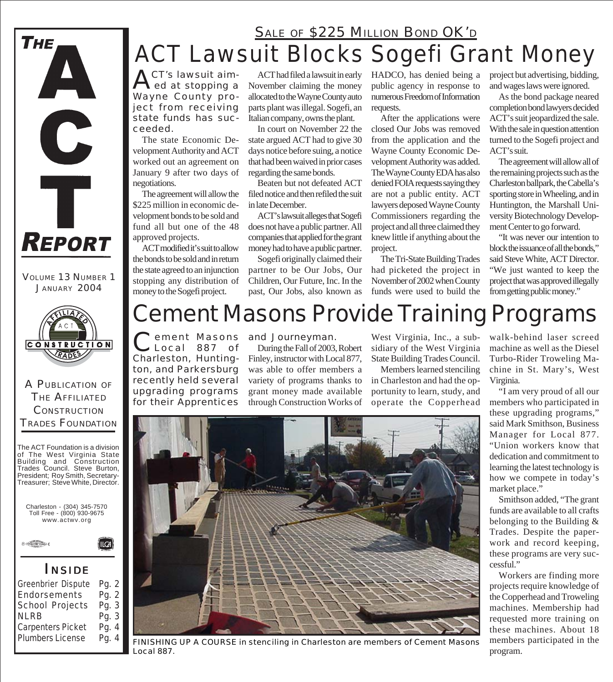### ACT Lawsuit Blocks Sogefi Grant Money **SALE OF \$225 MILLION BOND OK'D**

**ACT's lawsuit aim-**<br>ed at stopping a Wayne County project from receiving state funds has succeeded.

The state Economic Development Authority and ACT worked out an agreement on January 9 after two days of negotiations.

The agreement will allow the \$225 million in economic development bonds to be sold and fund all but one of the 48 approved projects.

ACT modified it's suit to allow the bonds to be sold and in return the state agreed to an injunction stopping any distribution of money to the Sogefi project.

**CONSTRUCTION** RADE

VOLUME 13 NUMBER 1 JANUARY 2004

**REPORT** 

C

Ť

THE

#### A PUBLICATION OF THE AFFILIATED **CONSTRUCTION** TRADES FOUNDATION



Charleston - (304) 345-7570 Toll Free - (800) 930-9675 www.actwv.org

(ILCA)



#### *I NSIDE*

| Greenbrier Dispute | Pg. 2 |
|--------------------|-------|
| Endorsements       | Pg. 2 |
| School Projects    | Pg. 3 |
| <b>NLRB</b>        | Pg. 3 |
| Carpenters Picket  | Pg. 4 |
| Plumbers License   | Pg. 4 |
|                    |       |

ACT had filed a lawsuit in early November claiming the money allocated to the Wayne County auto parts plant was illegal. Sogefi, an Italian company, owns the plant.

In court on November 22 the state argued ACT had to give 30 days notice before suing, a notice that had been waived in prior cases regarding the same bonds.

Beaten but not defeated ACT filed notice and then refiled the suit in late December.

ACT's lawsuit alleges that Sogefi does not have a public partner. All companies that applied for the grant money had to have a public partner.

Sogefi originally claimed their partner to be Our Jobs, Our Children, Our Future, Inc. In the past, Our Jobs, also known as

HADCO, has denied being a public agency in response to numerous Freedom of Information requests.

After the applications were closed Our Jobs was removed from the application and the Wayne County Economic Development Authority was added. The Wayne County EDA has also denied FOIA requests saying they are not a public entity. ACT lawyers deposed Wayne County Commissioners regarding the project and all three claimed they knew little if anything about the project.

The Tri-State Building Trades had picketed the project in November of 2002 when County funds were used to build the

project but advertising, bidding, and wages laws were ignored.

As the bond package neared completion bond lawyers decided ACT's suit jeopardized the sale. With the sale in question attention turned to the Sogefi project and ACT's suit.

The agreement will allow all of the remaining projects such as the Charleston ballpark, the Cabella's sporting store in Wheeling, and in Huntington, the Marshall University Biotechnology Development Center to go forward.

"It was never our intention to block the issuance of all the bonds," said Steve White, ACT Director. "We just wanted to keep the project that was approved illegally from getting public money."

### Cement Masons Provide Training Programs

Cement Masons Charleston, Huntington, and Parkersburg recently held several upgrading programs for their Apprentices

#### and Journeyman.

During the Fall of 2003, Robert Finley, instructor with Local 877, was able to offer members a variety of programs thanks to grant money made available through Construction Works of

West Virginia, Inc., a subsidiary of the West Virginia State Building Trades Council.

Members learned stenciling in Charleston and had the opportunity to learn, study, and operate the Copperhead walk-behind laser screed machine as well as the Diesel Turbo-Rider Troweling Machine in St. Mary's, West Virginia.

"I am very proud of all our members who participated in these upgrading programs," said Mark Smithson, Business Manager for Local 877. "Union workers know that dedication and commitment to learning the latest technology is how we compete in today's market place."

Smithson added, "The grant funds are available to all crafts belonging to the Building & Trades. Despite the paperwork and record keeping, these programs are very successful."

Workers are finding more projects require knowledge of the Copperhead and Troweling machines. Membership had requested more training on these machines. About 18 members participated in the program.



*FINISHING UP A COURSE in stenciling in Charleston are members of Cement Masons Local 887.*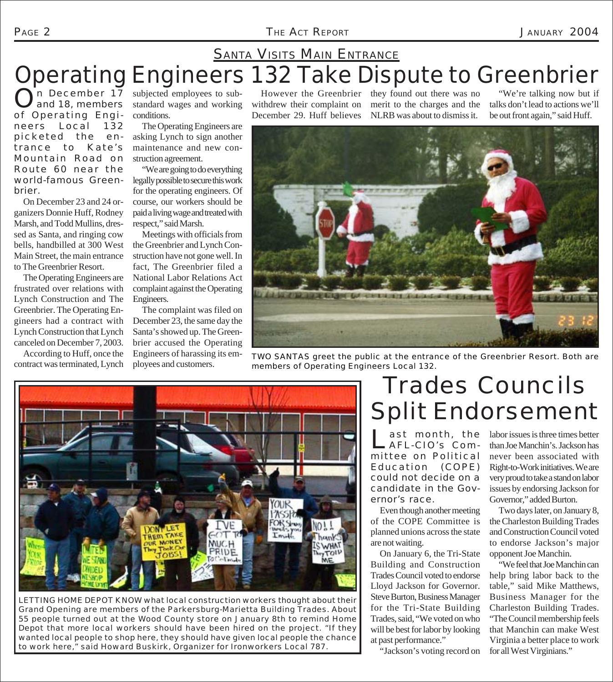#### PAGE 2 *THE ACT REPORT* JANUARY 2004

### Operating Engineers 132 Take Dispute to Greenbrier **SANTA VISITS MAIN ENTRANCE**

n December 17 and 18, members of Operating Engineers Local 132 picketed the entrance to Kate's Mountain Road on Route 60 near the world-famous Greenbrier.

On December 23 and 24 organizers Donnie Huff, Rodney Marsh, and Todd Mullins, dressed as Santa, and ringing cow bells, handbilled at 300 West Main Street, the main entrance to The Greenbrier Resort.

The Operating Engineers are frustrated over relations with Lynch Construction and The Greenbrier. The Operating Engineers had a contract with Lynch Construction that Lynch canceled on December 7, 2003.

According to Huff, once the contract was terminated, Lynch

subjected employees to substandard wages and working conditions.

The Operating Engineers are asking Lynch to sign another maintenance and new construction agreement.

"We are going to do everything legally possible to secure this work for the operating engineers. Of course, our workers should be paid a living wage and treated with respect," said Marsh.

Meetings with officials from the Greenbrier and Lynch Construction have not gone well. In fact, The Greenbrier filed a National Labor Relations Act complaint against the Operating Engineers.

The complaint was filed on December 23, the same day the Santa's showed up. The Greenbrier accused the Operating Engineers of harassing its employees and customers.

withdrew their complaint on December 29. Huff believes

However the Greenbrier they found out there was no merit to the charges and the NLRB was about to dismiss it.

"We're talking now but if talks don't lead to actions we'll be out front again," said Huff.



TWO SANTAS greet the public at the entrance of the Greenbrier Resort. Both are members of Operating Engineers Local 132.



LETTING HOME DEPOT KNOW what local construction workers thought about their Grand Opening are members of the Parkersburg-Marietta Building Trades. About 55 people turned out at the Wood County store on January 8th to remind Home Depot that more local workers should have been hired on the project. "If they wanted local people to shop here, they should have given local people the chance to work here," said Howard Buskirk, Organizer for Ironworkers Local 787.

### Trades Councils Split Endorsement

ast month, the AFL-CIO's Committee on Political Education (COPE) could not decide on a candidate in the Governor's race.

Even though another meeting of the COPE Committee is planned unions across the state are not waiting.

On January 6, the Tri-State Building and Construction Trades Council voted to endorse Lloyd Jackson for Governor. Steve Burton, Business Manager for the Tri-State Building Trades, said, "We voted on who will be best for labor by looking at past performance."

"Jackson's voting record on

labor issues is three times better than Joe Manchin's. Jackson has never been associated with Right-to-Work initiatives. We are very proud to take a stand on labor issues by endorsing Jackson for Governor," added Burton.

Two days later, on January 8, the Charleston Building Trades and Construction Council voted to endorse Jackson's major opponent Joe Manchin.

"We feel that Joe Manchin can help bring labor back to the table," said Mike Matthews, Business Manager for the Charleston Building Trades. "The Council membership feels that Manchin can make West Virginia a better place to work for all West Virginians."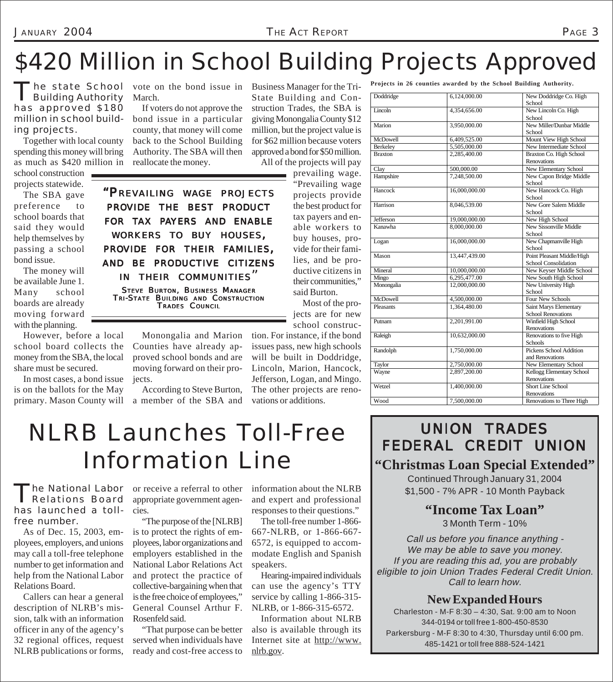## \$420 Million in School Building Projects Approved

The state School<br>Building Authority has approved \$180 million in school building projects.

Together with local county spending this money will bring as much as \$420 million in school construction projects statewide.

The SBA gave preference to school boards that said they would help themselves by passing a school bond issue.

The money will be available June 1. Many school boards are already moving forward with the planning.

However, before a local school board collects the money from the SBA, the local share must be secured.

In most cases, a bond issue is on the ballots for the May primary. Mason County will

vote on the bond issue in Business Manager for the Tri-March.

If voters do not approve the bond issue in a particular county, that money will come back to the School Building Authority. The SBA will then reallocate the money.

*"PREVAILING WAGE PROJECTS PROVIDE THE BEST PRODUCT FOR TAX PAYERS AND ENABLE WORKERS TO BUY HOUSES, PROVIDE FOR THEIR FAMILIES, AND BE PRODUCTIVE CITIZENS IN THEIR COMMUNITIES"* STEVE BURTON, BUSINESS MANAGER TRI-STATE BUILDING AND CONSTRUCTION TRADES COUNCIL

State Building and Construction Trades, the SBA is giving Monongalia County \$12 million, but the project value is for \$62 million because voters approved a bond for \$50 million. All of the projects will pay

> prevailing wage. "Prevailing wage projects provide the best product for tax payers and enable workers to buy houses, provide for their families, and be productive citizens in their communities," said Burton.

Most of the projects are for new school construc-

tion. For instance, if the bond issues pass, new high schools will be built in Doddridge, Lincoln, Marion, Hancock, Jefferson, Logan, and Mingo. The other projects are renovations or additions.

**Projects in 26 counties awarded by the School Building Authority.**

| Doddridge      | 6,124,000.00  | New Doddridge Co. High     |
|----------------|---------------|----------------------------|
|                |               | School                     |
| Lincoln        | 4,354,656.00  | New Lincoln Co. High       |
|                |               | School                     |
| Marion         | 3,950,000.00  | New Miller/Dunbar Middle   |
|                |               | School                     |
| McDowell       | 6,409,525.00  | Mount View High School     |
| Berkeley       | 5,505,000.00  | New Intermediate School    |
| <b>Braxton</b> | 2,285,400.00  | Braxton Co. High School    |
|                |               | Renovations                |
| Clay           | 500,000.00    | New Elementary School      |
| Hampshire      | 7,248,500.00  | New Capon Bridge Middle    |
|                |               | School                     |
| Hancock        | 16,000,000.00 | New Hancock Co. High       |
|                |               | School                     |
| Harrison       | 8,046,539.00  | New Gore Salem Middle      |
|                |               | School                     |
| Jefferson      | 19,000,000.00 | New High School            |
| Kanawha        | 8,000,000.00  | New Sissonville Middle     |
|                |               | School                     |
| Logan          | 16,000,000.00 | New Chapmanville High      |
|                |               | School                     |
| Mason          | 13,447,439.00 | Point Pleasant Middle/High |
|                |               | School Consolidation       |
| Mineral        | 10,000,000.00 | New Keyser Middle School   |
| Mingo          | 6,295,477.00  | New South High School      |
| Monongalia     | 12,000,000.00 | New University High        |
|                |               | School                     |
| McDowell       | 4,500,000.00  | Four New Schools           |
| Pleasants      | 1,364,480.00  | Saint Marys Elementary     |
|                |               | <b>School Renovations</b>  |
| Putnam         | 2,201,991.00  | Winfield High School       |
|                |               | Renovations                |
| Raleigh        | 10,632,000.00 | Renovations to five High   |
|                |               | <b>Schools</b>             |
| Randolph       | 1,750,000.00  | Pickens School Addition    |
|                |               | and Renovations            |
| Taylor         | 2,750,000.00  | New Elementary School      |
| Wayne          | 2,897,200.00  | Kellogg Elementary School  |
|                |               | <b>Renovations</b>         |
| Wetzel         | 1,400,000.00  | <b>Short Line School</b>   |
|                |               | Renovations                |
| Wood           | 7,500,000.00  | Renovations to Three High  |

## NLRB Launches Toll-Free Information Line

According to Steve Burton, a member of the SBA and

Monongalia and Marion Counties have already approved school bonds and are moving forward on their pro-

jects.

he National Labor Relations Board has launched a tollfree number.

As of Dec. 15, 2003, employees, employers, and unions may call a toll-free telephone number to get information and help from the National Labor Relations Board.

Callers can hear a general description of NLRB's mission, talk with an information officer in any of the agency's 32 regional offices, request NLRB publications or forms,

or receive a referral to other appropriate government agencies.

"The purpose of the [NLRB] is to protect the rights of employees, labor organizations and employers established in the National Labor Relations Act and protect the practice of collective-bargaining when that is the free choice of employees," General Counsel Arthur F. Rosenfeld said.

"That purpose can be better served when individuals have ready and cost-free access to

information about the NLRB and expert and professional responses to their questions."

The toll-free number 1-866- 667-NLRB, or 1-866-667- 6572, is equipped to accommodate English and Spanish speakers.

Hearing-impaired individuals can use the agency's TTY service by calling 1-866-315- NLRB, or 1-866-315-6572.

Information about NLRB also is available through its Internet site at http://www. nlrb.gov.

### UNION TRADES FEDERAL CREDIT UNION

#### **"Christmas Loan Special Extended"** Continued Through January 31, 2004

\$1,500 - 7% APR - 10 Month Payback

**"Income Tax Loan"**

3 Month Term - 10%

Call us before you finance anything - We may be able to save you money. If you are reading this ad, you are probably eligible to join Union Trades Federal Credit Union. Call to learn how.

#### **New Expanded Hours**

Charleston - M-F 8:30 – 4:30, Sat. 9:00 am to Noon 344-0194 or toll free 1-800-450-8530 Parkersburg - M-F 8:30 to 4:30, Thursday until 6:00 pm. 485-1421 or toll free 888-524-1421